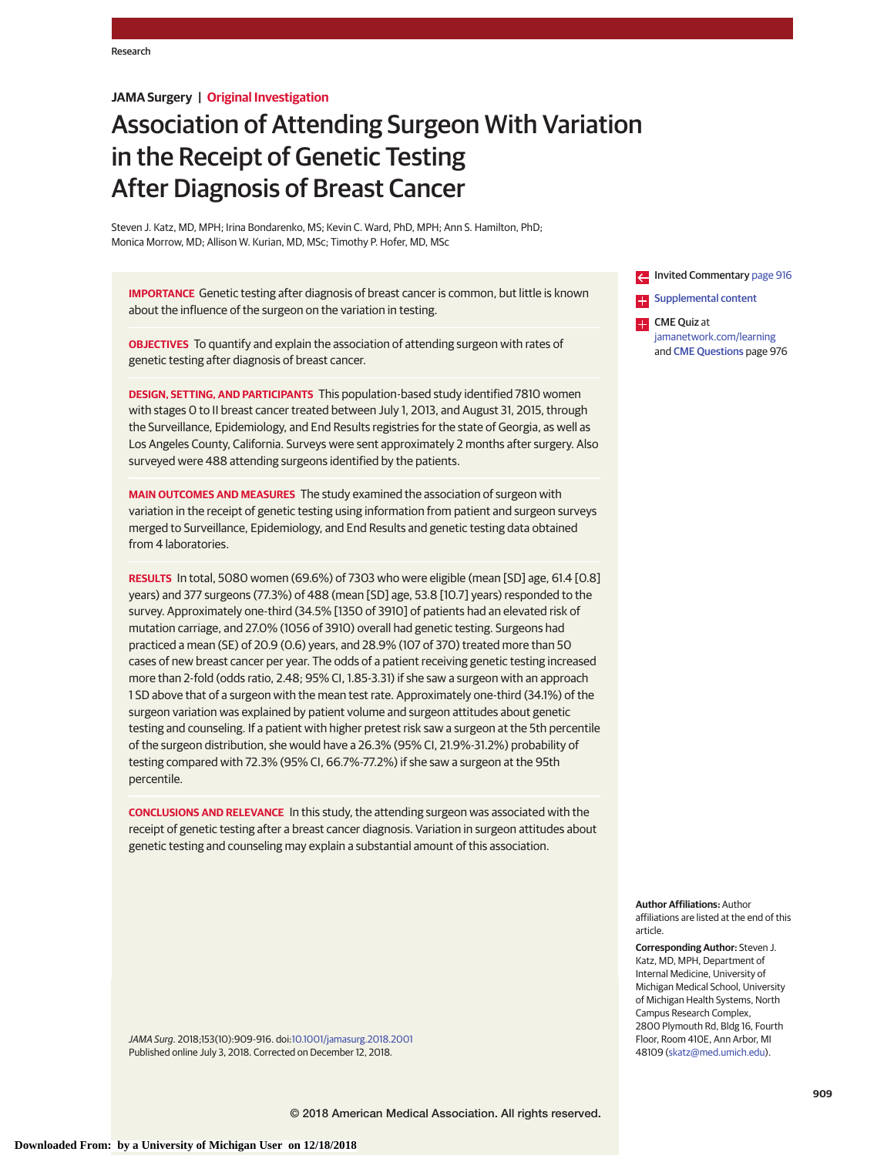# **JAMA Surgery | Original Investigation**

# Association of Attending Surgeon With Variation in the Receipt of Genetic Testing After Diagnosis of Breast Cancer

Steven J. Katz, MD, MPH; Irina Bondarenko, MS; Kevin C. Ward, PhD, MPH; Ann S. Hamilton, PhD; Monica Morrow, MD; Allison W. Kurian, MD, MSc; Timothy P. Hofer, MD, MSc

**IMPORTANCE** Genetic testing after diagnosis of breast cancer is common, but little is known about the influence of the surgeon on the variation in testing.

**OBJECTIVES** To quantify and explain the association of attending surgeon with rates of genetic testing after diagnosis of breast cancer.

**DESIGN, SETTING, AND PARTICIPANTS** This population-based study identified 7810 women with stages 0 to II breast cancer treated between July 1, 2013, and August 31, 2015, through the Surveillance, Epidemiology, and End Results registries for the state of Georgia, as well as Los Angeles County, California. Surveys were sent approximately 2 months after surgery. Also surveyed were 488 attending surgeons identified by the patients.

**MAIN OUTCOMES AND MEASURES** The study examined the association of surgeon with variation in the receipt of genetic testing using information from patient and surgeon surveys merged to Surveillance, Epidemiology, and End Results and genetic testing data obtained from 4 laboratories.

**RESULTS** In total, 5080 women (69.6%) of 7303 who were eligible (mean [SD] age, 61.4 [0.8] years) and 377 surgeons (77.3%) of 488 (mean [SD] age, 53.8 [10.7] years) responded to the survey. Approximately one-third (34.5% [1350 of 3910] of patients had an elevated risk of mutation carriage, and 27.0% (1056 of 3910) overall had genetic testing. Surgeons had practiced a mean (SE) of 20.9 (0.6) years, and 28.9% (107 of 370) treated more than 50 cases of new breast cancer per year. The odds of a patient receiving genetic testing increased more than 2-fold (odds ratio, 2.48; 95% CI, 1.85-3.31) if she saw a surgeon with an approach 1 SD above that of a surgeon with the mean test rate. Approximately one-third (34.1%) of the surgeon variation was explained by patient volume and surgeon attitudes about genetic testing and counseling. If a patient with higher pretest risk saw a surgeon at the 5th percentile of the surgeon distribution, she would have a 26.3% (95% CI, 21.9%-31.2%) probability of testing compared with 72.3% (95% CI, 66.7%-77.2%) if she saw a surgeon at the 95th percentile.

**CONCLUSIONS AND RELEVANCE** In this study, the attending surgeon was associated with the receipt of genetic testing after a breast cancer diagnosis. Variation in surgeon attitudes about genetic testing and counseling may explain a substantial amount of this association.

Invited Commentary [page 916](https://jama.jamanetwork.com/article.aspx?doi=10.1001/jamasurg.2018.2021&utm_campaign=articlePDF%26utm_medium=articlePDFlink%26utm_source=articlePDF%26utm_content=jamasurg.2018.2001) **Examplemental content** 

**CME** Quiz at [jamanetwork.com/learning](https://jama.jamanetwork.com/learning/article-quiz/10.1001/jamasurg.2018.2001/?utm_campaign=articlePDF%26utm_medium=articlePDFlink%26utm_source=articlePDF%26utm_content=jamasurg.2018.2001) and [CME Questions](https://jama.jamanetwork.com/learning/article-quiz/10.1001/jamasurg.2018.2001/?utm_campaign=articlePDF%26utm_medium=articlePDFlink%26utm_source=articlePDF%26utm_content=jamasurg.2018.2001) page 976

**Author Affiliations:** Author affiliations are listed at the end of this article.

**Corresponding Author:** Steven J. Katz, MD, MPH, Department of Internal Medicine, University of Michigan Medical School, University of Michigan Health Systems, North Campus Research Complex, 2800 Plymouth Rd, Bldg 16, Fourth Floor, Room 410E, Ann Arbor, MI 48109 [\(skatz@med.umich.edu\)](mailto:skatz@med.umich.edu).

JAMA Surg. 2018;153(10):909-916. doi[:10.1001/jamasurg.2018.2001](https://jama.jamanetwork.com/article.aspx?doi=10.1001/jamasurg.2018.2001&utm_campaign=articlePDF%26utm_medium=articlePDFlink%26utm_source=articlePDF%26utm_content=jamasurg.2018.2001) Published online July 3, 2018. Corrected on December 12, 2018.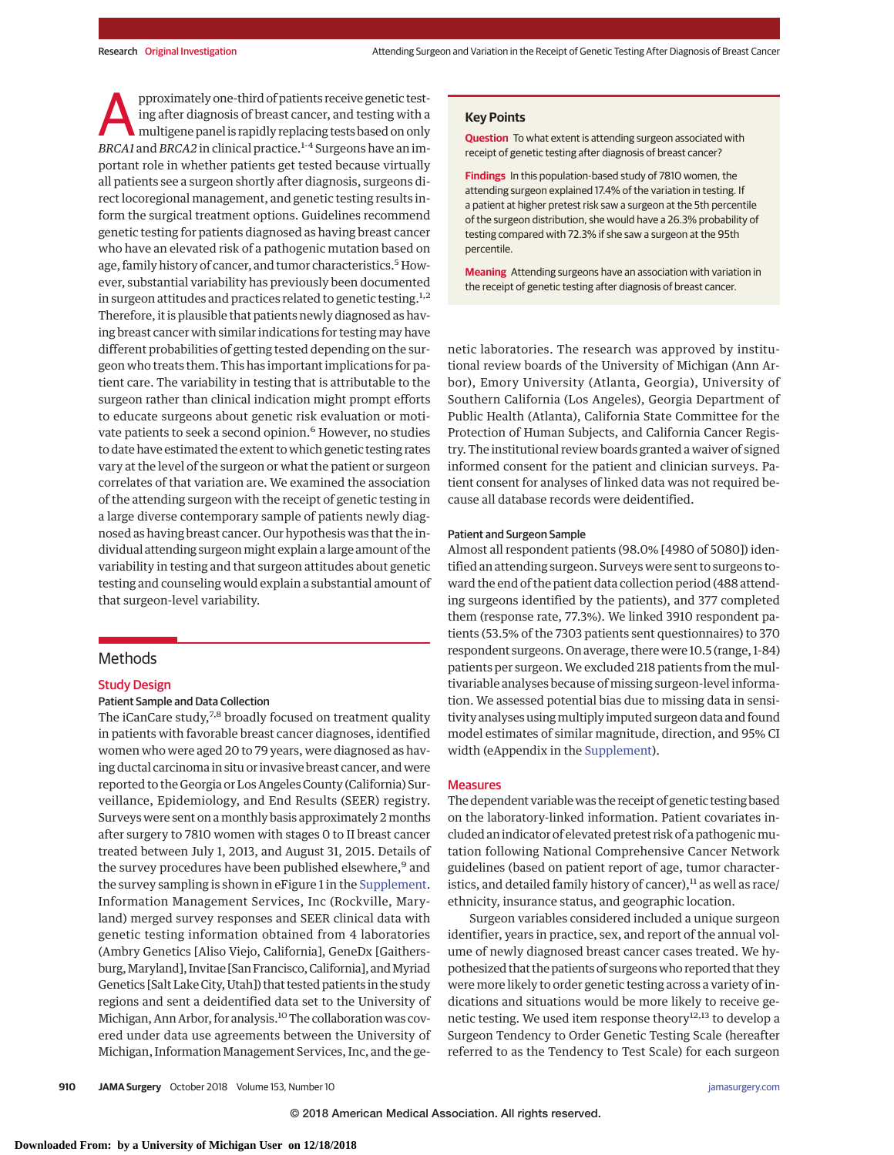pproximately one-third of patients receive genetic test-<br>ing after diagnosis of breast cancer, and testing with a<br>multigene panel is rapidly replacing tests based on only<br>ppc 41 and ppc 42 in clinical practice 14 Surgeons ing after diagnosis of breast cancer, and testing with a *BRCA1* and *BRCA2* in clinical practice.1-4 Surgeons have an important role in whether patients get tested because virtually all patients see a surgeon shortly after diagnosis, surgeons direct locoregional management, and genetic testing results inform the surgical treatment options. Guidelines recommend genetic testing for patients diagnosed as having breast cancer who have an elevated risk of a pathogenic mutation based on age, family history of cancer, and tumor characteristics.<sup>5</sup> However, substantial variability has previously been documented in surgeon attitudes and practices related to genetic testing.<sup>1,2</sup> Therefore, it is plausible that patients newly diagnosed as having breast cancer with similar indications for testing may have different probabilities of getting tested depending on the surgeon who treats them. This has important implications for patient care. The variability in testing that is attributable to the surgeon rather than clinical indication might prompt efforts to educate surgeons about genetic risk evaluation or motivate patients to seek a second opinion.<sup>6</sup> However, no studies to date have estimated the extent to which genetic testing rates vary at the level of the surgeon or what the patient or surgeon correlates of that variation are. We examined the association of the attending surgeon with the receipt of genetic testing in a large diverse contemporary sample of patients newly diagnosed as having breast cancer. Our hypothesis was that the individual attending surgeon might explain a large amount of the variability in testing and that surgeon attitudes about genetic testing and counseling would explain a substantial amount of that surgeon-level variability.

# Methods

#### Study Design

## Patient Sample and Data Collection

The iCanCare study,<sup>7,8</sup> broadly focused on treatment quality in patients with favorable breast cancer diagnoses, identified women who were aged 20 to 79 years, were diagnosed as having ductal carcinoma in situ or invasive breast cancer, and were reported to the Georgia or Los Angeles County (California) Surveillance, Epidemiology, and End Results (SEER) registry. Surveys were sent on a monthly basis approximately 2 months after surgery to 7810 women with stages 0 to II breast cancer treated between July 1, 2013, and August 31, 2015. Details of the survey procedures have been published elsewhere,<sup>9</sup> and the survey sampling is shown in eFigure 1 in the [Supplement.](https://jama.jamanetwork.com/article.aspx?doi=10.1001/jamasurg.2018.2001&utm_campaign=articlePDF%26utm_medium=articlePDFlink%26utm_source=articlePDF%26utm_content=jamasurg.2018.2001) Information Management Services, Inc (Rockville, Maryland) merged survey responses and SEER clinical data with genetic testing information obtained from 4 laboratories (Ambry Genetics [Aliso Viejo, California], GeneDx [Gaithersburg, Maryland], Invitae [San Francisco, California], and Myriad Genetics [Salt Lake City, Utah]) that tested patients in the study regions and sent a deidentified data set to the University of Michigan, Ann Arbor, for analysis.<sup>10</sup> The collaboration was covered under data use agreements between the University of Michigan, Information Management Services, Inc, and the ge-

## **Key Points**

**Question** To what extent is attending surgeon associated with receipt of genetic testing after diagnosis of breast cancer?

**Findings** In this population-based study of 7810 women, the attending surgeon explained 17.4% of the variation in testing. If a patient at higher pretest risk saw a surgeon at the 5th percentile of the surgeon distribution, she would have a 26.3% probability of testing compared with 72.3% if she saw a surgeon at the 95th percentile.

**Meaning** Attending surgeons have an association with variation in the receipt of genetic testing after diagnosis of breast cancer.

netic laboratories. The research was approved by institutional review boards of the University of Michigan (Ann Arbor), Emory University (Atlanta, Georgia), University of Southern California (Los Angeles), Georgia Department of Public Health (Atlanta), California State Committee for the Protection of Human Subjects, and California Cancer Registry. The institutional review boards granted a waiver of signed informed consent for the patient and clinician surveys. Patient consent for analyses of linked data was not required because all database records were deidentified.

#### Patient and Surgeon Sample

Almost all respondent patients (98.0% [4980 of 5080]) identified an attending surgeon. Surveys were sent to surgeons toward the end of the patient data collection period (488 attending surgeons identified by the patients), and 377 completed them (response rate, 77.3%). We linked 3910 respondent patients (53.5% of the 7303 patients sent questionnaires) to 370 respondent surgeons. On average, there were 10.5 (range, 1-84) patients per surgeon. We excluded 218 patients from the multivariable analyses because of missing surgeon-level information. We assessed potential bias due to missing data in sensitivity analyses usingmultiply imputed surgeon data and found model estimates of similar magnitude, direction, and 95% CI width (eAppendix in the [Supplement\)](https://jama.jamanetwork.com/article.aspx?doi=10.1001/jamasurg.2018.2001&utm_campaign=articlePDF%26utm_medium=articlePDFlink%26utm_source=articlePDF%26utm_content=jamasurg.2018.2001).

### **Measures**

The dependent variable was the receipt of genetic testing based on the laboratory-linked information. Patient covariates included an indicator of elevated pretest risk of a pathogenicmutation following National Comprehensive Cancer Network guidelines (based on patient report of age, tumor characteristics, and detailed family history of cancer), $11$  as well as race/ ethnicity, insurance status, and geographic location.

Surgeon variables considered included a unique surgeon identifier, years in practice, sex, and report of the annual volume of newly diagnosed breast cancer cases treated. We hypothesized that the patients of surgeonswho reported that they were more likely to order genetic testing across a variety of indications and situations would be more likely to receive genetic testing. We used item response theory $^{12,13}$  to develop a Surgeon Tendency to Order Genetic Testing Scale (hereafter referred to as the Tendency to Test Scale) for each surgeon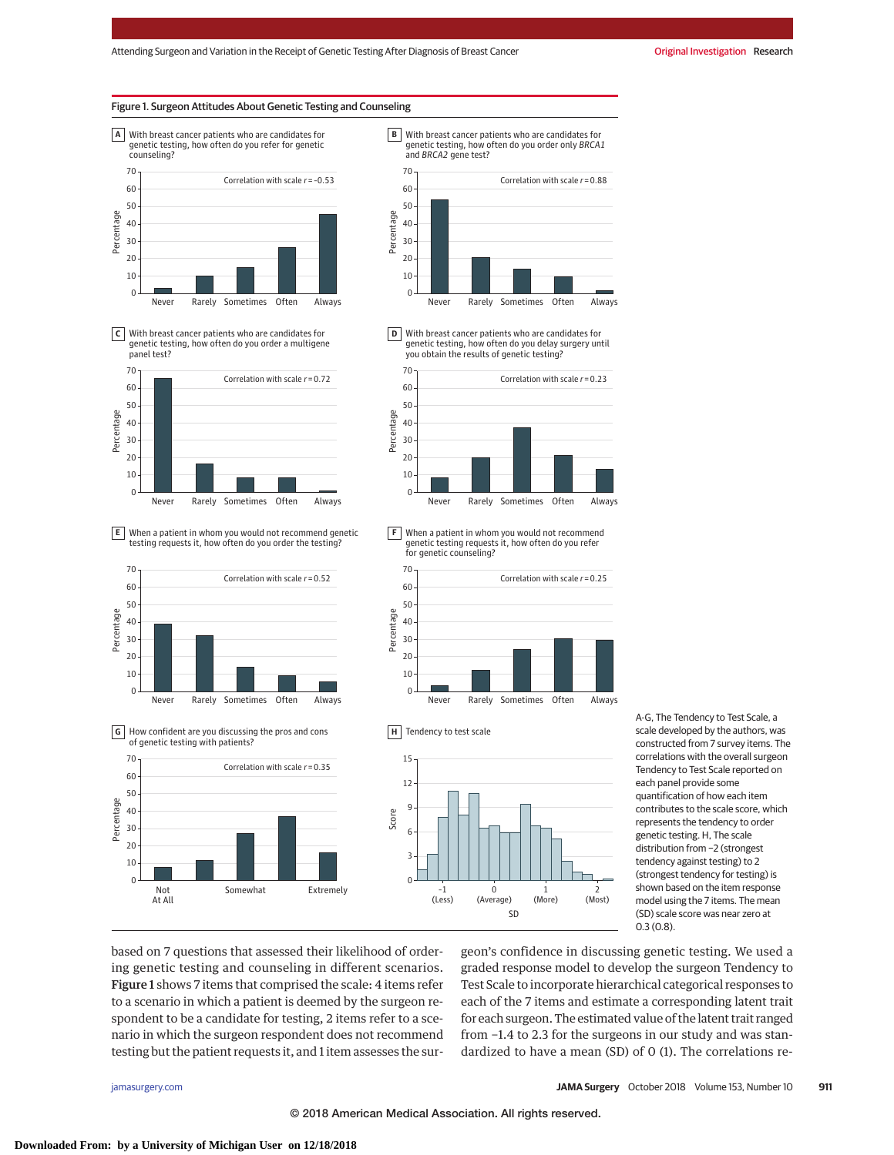#### Figure 1. Surgeon Attitudes About Genetic Testing and Counseling



With breast cancer patients who are candidates for **C** genetic testing, how often do you order a multigene panel test?



When a patient in whom you would not recommend genetic testing requests it, how often do you order the testing? **E**









**D** With breast cancer patients who are candidates for<br>genetic testing, how often do you delay surgery until you obtain the results of genetic testing?



When a patient in whom you would not recommend **F** genetic testing requests it, how often do you refer for genetic counseling?







A-G, The Tendency to Test Scale, a scale developed by the authors, was constructed from 7 survey items. The correlations with the overall surgeon Tendency to Test Scale reported on each panel provide some quantification of how each item contributes to the scale score, which represents the tendency to order genetic testing. H, The scale distribution from −2 (strongest tendency against testing) to 2 (strongest tendency for testing) is shown based on the item response model using the 7 items. The mean (SD) scale score was near zero at 0.3 (0.8).

based on 7 questions that assessed their likelihood of ordering genetic testing and counseling in different scenarios. Figure 1 shows 7 items that comprised the scale: 4 items refer to a scenario in which a patient is deemed by the surgeon respondent to be a candidate for testing, 2 items refer to a scenario in which the surgeon respondent does not recommend testing but the patient requests it, and 1 item assesses the surgeon's confidence in discussing genetic testing. We used a graded response model to develop the surgeon Tendency to Test Scale to incorporate hierarchical categorical responses to each of the 7 items and estimate a corresponding latent trait for each surgeon. The estimated value of the latent trait ranged from −1.4 to 2.3 for the surgeons in our study and was standardized to have a mean (SD) of 0 (1). The correlations re-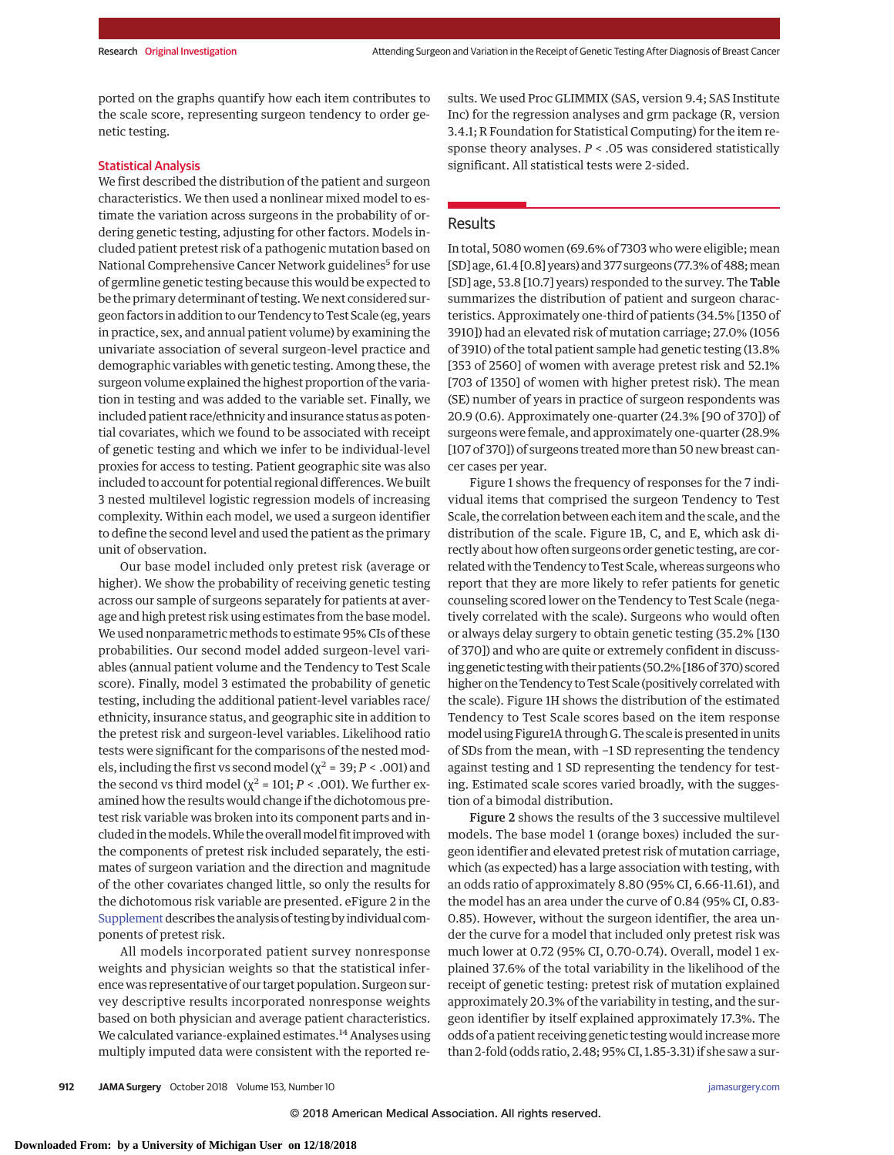ported on the graphs quantify how each item contributes to the scale score, representing surgeon tendency to order genetic testing.

## Statistical Analysis

We first described the distribution of the patient and surgeon characteristics. We then used a nonlinear mixed model to estimate the variation across surgeons in the probability of ordering genetic testing, adjusting for other factors. Models included patient pretest risk of a pathogenic mutation based on National Comprehensive Cancer Network guidelines<sup>5</sup> for use of germline genetic testing because this would be expected to be the primary determinant of testing. We next considered surgeon factors in addition to our Tendency to Test Scale (eg, years in practice, sex, and annual patient volume) by examining the univariate association of several surgeon-level practice and demographic variables with genetic testing. Among these, the surgeon volume explained the highest proportion of the variation in testing and was added to the variable set. Finally, we included patient race/ethnicity and insurance status as potential covariates, which we found to be associated with receipt of genetic testing and which we infer to be individual-level proxies for access to testing. Patient geographic site was also included to account for potential regional differences.We built 3 nested multilevel logistic regression models of increasing complexity. Within each model, we used a surgeon identifier to define the second level and used the patient as the primary unit of observation.

Our base model included only pretest risk (average or higher). We show the probability of receiving genetic testing across our sample of surgeons separately for patients at average and high pretest risk using estimates from the base model. We used nonparametric methods to estimate 95% CIs of these probabilities. Our second model added surgeon-level variables (annual patient volume and the Tendency to Test Scale score). Finally, model 3 estimated the probability of genetic testing, including the additional patient-level variables race/ ethnicity, insurance status, and geographic site in addition to the pretest risk and surgeon-level variables. Likelihood ratio tests were significant for the comparisons of the nested models, including the first vs second model ( $\chi^2$  = 39; *P* < .001) and the second vs third model ( $\chi^2$  = 101; *P* < .001). We further examined how the results would change if the dichotomous pretest risk variable was broken into its component parts and included in the models. While the overall model fit improved with the components of pretest risk included separately, the estimates of surgeon variation and the direction and magnitude of the other covariates changed little, so only the results for the dichotomous risk variable are presented. eFigure 2 in the [Supplement](https://jama.jamanetwork.com/article.aspx?doi=10.1001/jamasurg.2018.2001&utm_campaign=articlePDF%26utm_medium=articlePDFlink%26utm_source=articlePDF%26utm_content=jamasurg.2018.2001) describes the analysis of testing by individual components of pretest risk.

All models incorporated patient survey nonresponse weights and physician weights so that the statistical inference was representative of our target population. Surgeon survey descriptive results incorporated nonresponse weights based on both physician and average patient characteristics. We calculated variance-explained estimates.<sup>14</sup> Analyses using multiply imputed data were consistent with the reported results. We used Proc GLIMMIX (SAS, version 9.4; SAS Institute Inc) for the regression analyses and grm package (R, version 3.4.1; R Foundation for Statistical Computing) for the item response theory analyses. *P* < .05 was considered statistically significant. All statistical tests were 2-sided.

## Results

In total, 5080 women (69.6% of 7303 who were eligible; mean [SD] age, 61.4 [0.8] years) and 377 surgeons (77.3% of 488; mean [SD] age, 53.8 [10.7] years) responded to the survey. The Table summarizes the distribution of patient and surgeon characteristics. Approximately one-third of patients (34.5% [1350 of 3910]) had an elevated risk of mutation carriage; 27.0% (1056 of 3910) of the total patient sample had genetic testing (13.8% [353 of 2560] of women with average pretest risk and 52.1% [703 of 1350] of women with higher pretest risk). The mean (SE) number of years in practice of surgeon respondents was 20.9 (0.6). Approximately one-quarter (24.3% [90 of 370]) of surgeons were female, and approximately one-quarter (28.9% [107 of 370]) of surgeons treated more than 50 new breast cancer cases per year.

Figure 1 shows the frequency of responses for the 7 individual items that comprised the surgeon Tendency to Test Scale, the correlation between each item and the scale, and the distribution of the scale. Figure 1B, C, and E, which ask directly about how often surgeons order genetic testing, are correlated with the Tendency to Test Scale, whereas surgeons who report that they are more likely to refer patients for genetic counseling scored lower on the Tendency to Test Scale (negatively correlated with the scale). Surgeons who would often or always delay surgery to obtain genetic testing (35.2% [130 of 370]) and who are quite or extremely confident in discussing genetic testingwith their patients (50.2% [186 of 370) scored higher on the Tendency to Test Scale (positively correlated with the scale). Figure 1H shows the distribution of the estimated Tendency to Test Scale scores based on the item response model using Figure1A through G. The scale is presented in units of SDs from the mean, with −1 SD representing the tendency against testing and 1 SD representing the tendency for testing. Estimated scale scores varied broadly, with the suggestion of a bimodal distribution.

Figure 2 shows the results of the 3 successive multilevel models. The base model 1 (orange boxes) included the surgeon identifier and elevated pretest risk of mutation carriage, which (as expected) has a large association with testing, with an odds ratio of approximately 8.80 (95% CI, 6.66-11.61), and the model has an area under the curve of 0.84 (95% CI, 0.83- 0.85). However, without the surgeon identifier, the area under the curve for a model that included only pretest risk was much lower at 0.72 (95% CI, 0.70-0.74). Overall, model 1 explained 37.6% of the total variability in the likelihood of the receipt of genetic testing: pretest risk of mutation explained approximately 20.3% of the variability in testing, and the surgeon identifier by itself explained approximately 17.3%. The odds of a patient receiving genetic testing would increasemore than 2-fold (odds ratio, 2.48; 95% CI, 1.85-3.31) if she saw a sur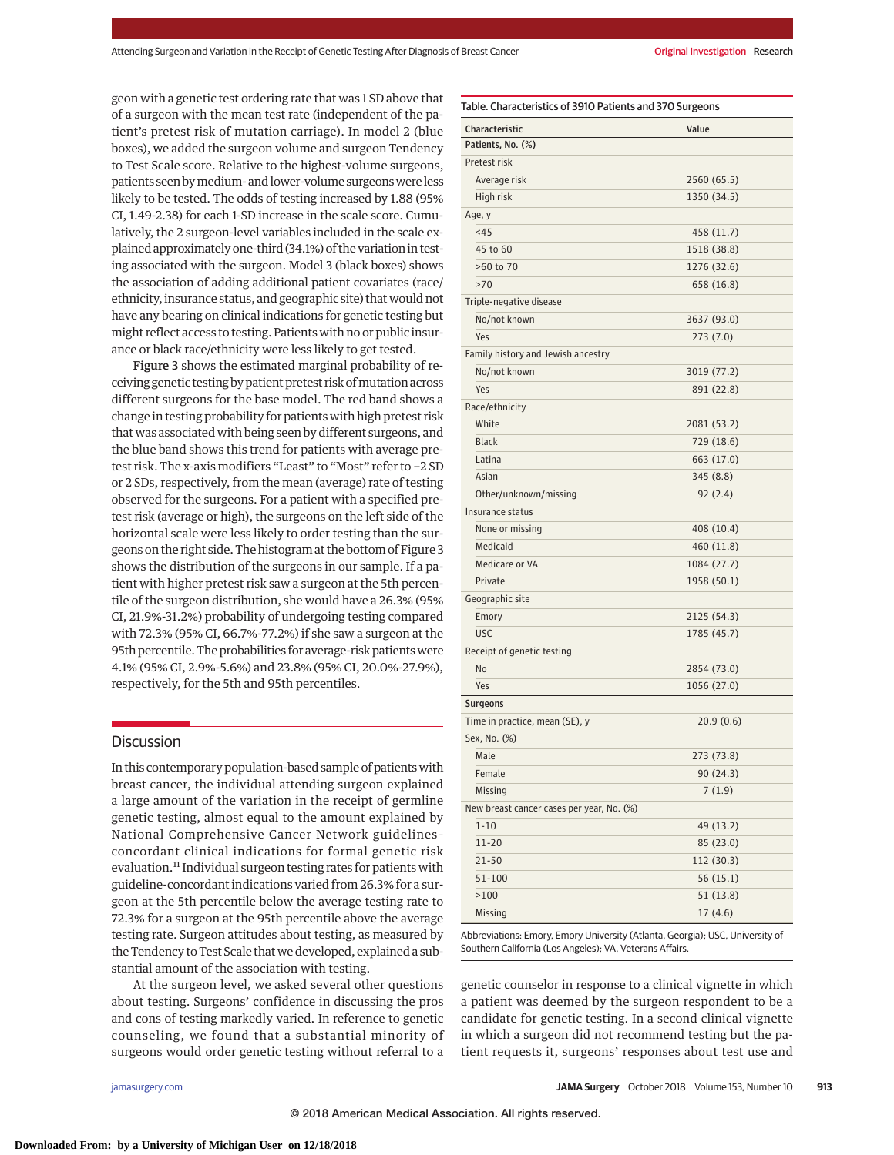geon with a genetic test ordering rate that was 1 SD above that of a surgeon with the mean test rate (independent of the patient's pretest risk of mutation carriage). In model 2 (blue boxes), we added the surgeon volume and surgeon Tendency to Test Scale score. Relative to the highest-volume surgeons, patients seen by medium- and lower-volume surgeons were less likely to be tested. The odds of testing increased by 1.88 (95% CI, 1.49-2.38) for each 1-SD increase in the scale score. Cumulatively, the 2 surgeon-level variables included in the scale explained approximately one-third (34.1%) of the variation in testing associated with the surgeon. Model 3 (black boxes) shows the association of adding additional patient covariates (race/ ethnicity, insurance status, and geographic site) that would not have any bearing on clinical indications for genetic testing but might reflect access to testing. Patients with no or public insurance or black race/ethnicity were less likely to get tested.

Figure 3 shows the estimated marginal probability of receiving genetic testing by patient pretest risk ofmutation across different surgeons for the base model. The red band shows a change in testing probability for patients with high pretest risk that was associated with being seen by different surgeons, and the blue band shows this trend for patients with average pretest risk. The x-axis modifiers "Least" to "Most" refer to −2 SD or 2 SDs, respectively, from the mean (average) rate of testing observed for the surgeons. For a patient with a specified pretest risk (average or high), the surgeons on the left side of the horizontal scale were less likely to order testing than the surgeons on the right side. The histogram at the bottom of Figure 3 shows the distribution of the surgeons in our sample. If a patient with higher pretest risk saw a surgeon at the 5th percentile of the surgeon distribution, she would have a 26.3% (95% CI, 21.9%-31.2%) probability of undergoing testing compared with 72.3% (95% CI, 66.7%-77.2%) if she saw a surgeon at the 95th percentile. The probabilities for average-risk patients were 4.1% (95% CI, 2.9%-5.6%) and 23.8% (95% CI, 20.0%-27.9%), respectively, for the 5th and 95th percentiles.

## **Discussion**

In this contemporary population-based sample of patients with breast cancer, the individual attending surgeon explained a large amount of the variation in the receipt of germline genetic testing, almost equal to the amount explained by National Comprehensive Cancer Network guidelines– concordant clinical indications for formal genetic risk evaluation.11 Individual surgeon testing rates for patients with guideline-concordant indications varied from 26.3% for a surgeon at the 5th percentile below the average testing rate to 72.3% for a surgeon at the 95th percentile above the average testing rate. Surgeon attitudes about testing, as measured by the Tendency to Test Scale that we developed, explained a substantial amount of the association with testing.

At the surgeon level, we asked several other questions about testing. Surgeons' confidence in discussing the pros and cons of testing markedly varied. In reference to genetic counseling, we found that a substantial minority of surgeons would order genetic testing without referral to a

| Characteristic                            | Value       |
|-------------------------------------------|-------------|
| Patients, No. (%)                         |             |
| Pretest risk                              |             |
| Average risk                              | 2560 (65.5) |
| High risk                                 | 1350 (34.5) |
| Age, y                                    |             |
| < 45                                      | 458 (11.7)  |
| 45 to 60                                  | 1518 (38.8) |
| >60 to 70                                 | 1276 (32.6) |
| >70                                       | 658 (16.8)  |
| Triple-negative disease                   |             |
| No/not known                              | 3637 (93.0) |
| Yes                                       | 273(7.0)    |
| Family history and Jewish ancestry        |             |
| No/not known                              | 3019 (77.2) |
| Yes                                       | 891 (22.8)  |
| Race/ethnicity                            |             |
| White                                     | 2081 (53.2) |
| <b>Black</b>                              | 729 (18.6)  |
| Latina                                    | 663 (17.0)  |
| Asian                                     | 345(8.8)    |
| Other/unknown/missing                     | 92(2.4)     |
| Insurance status                          |             |
| None or missing                           | 408 (10.4)  |
| Medicaid                                  | 460 (11.8)  |
| Medicare or VA                            | 1084 (27.7) |
| Private                                   | 1958 (50.1) |
| Geographic site                           |             |
| Emory                                     | 2125 (54.3) |
| <b>USC</b>                                | 1785 (45.7) |
| Receipt of genetic testing                |             |
| No                                        | 2854 (73.0) |
| Yes                                       | 1056 (27.0) |
| <b>Surgeons</b>                           |             |
| Time in practice, mean (SE), y            | 20.9(0.6)   |
| Sex, No. (%)                              |             |
| Male                                      | 273 (73.8)  |
| Female                                    | 90(24.3)    |
| Missing                                   | 7(1.9)      |
| New breast cancer cases per year, No. (%) |             |
| $1 - 10$                                  | 49 (13.2)   |
| $11 - 20$                                 | 85 (23.0)   |
| $21 - 50$                                 | 112 (30.3)  |
| 51-100                                    | 56(15.1)    |
| >100                                      | 51(13.8)    |

Abbreviations: Emory, Emory University (Atlanta, Georgia); USC, University of Southern California (Los Angeles); VA, Veterans Affairs.

 $Missing$   $17 (4.6)$ 

genetic counselor in response to a clinical vignette in which a patient was deemed by the surgeon respondent to be a candidate for genetic testing. In a second clinical vignette in which a surgeon did not recommend testing but the patient requests it, surgeons' responses about test use and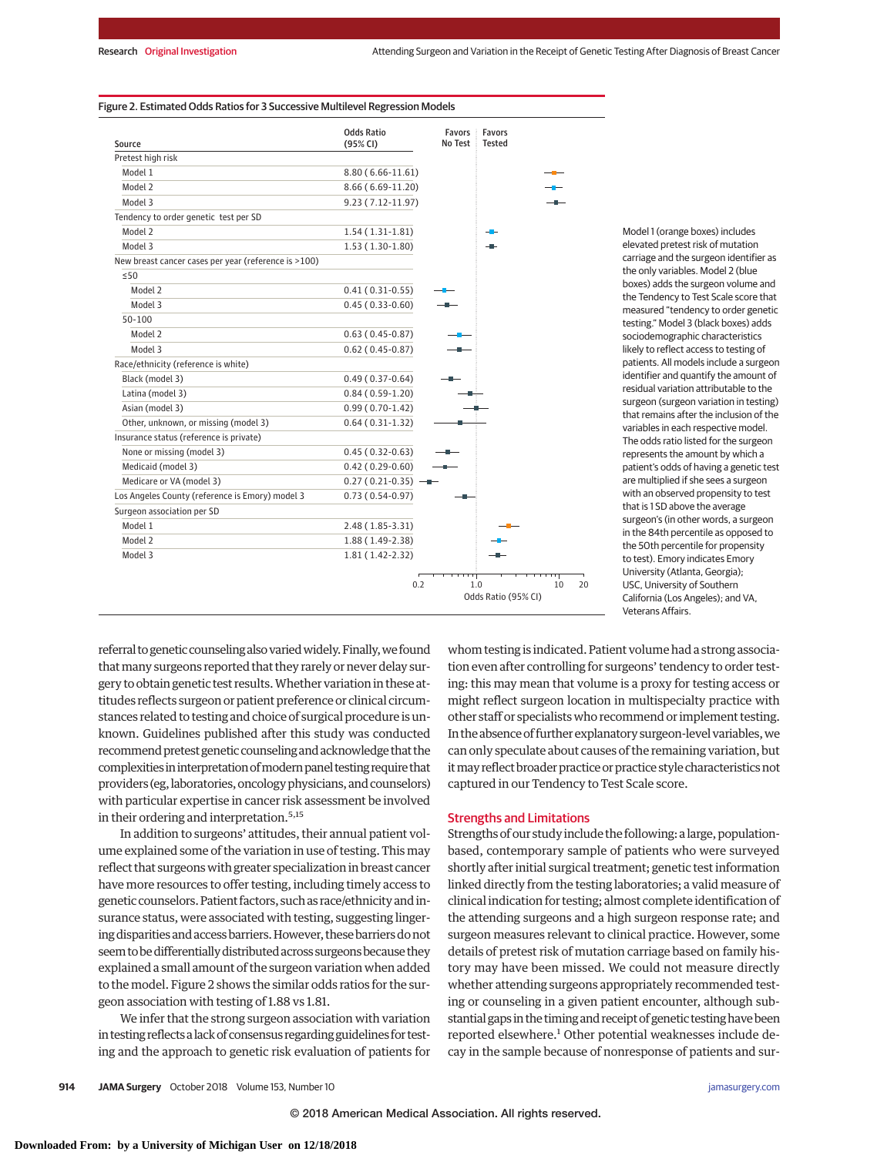### Figure 2. Estimated Odds Ratios for 3 Successive Multilevel Regression Models

| Source                                               | <b>Odds Ratio</b><br>(95% CI) | <b>Favors</b> :<br>No Test | Favors<br><b>Tested</b> |    |    |
|------------------------------------------------------|-------------------------------|----------------------------|-------------------------|----|----|
| Pretest high risk                                    |                               |                            |                         |    |    |
| Model 1                                              | $8.80(6.66-11.61)$            |                            |                         |    |    |
| Model 2                                              | 8.66 (6.69-11.20)             |                            |                         |    |    |
| Model 3                                              | 9.23 (7.12-11.97)             |                            |                         |    |    |
| Tendency to order genetic test per SD                |                               |                            |                         |    |    |
| Model 2                                              | $1.54(1.31-1.81)$             |                            |                         |    |    |
| Model 3                                              | $1.53(1.30-1.80)$             |                            |                         |    |    |
| New breast cancer cases per year (reference is >100) |                               |                            |                         |    |    |
| $\leq$ 50                                            |                               |                            |                         |    |    |
| Model 2                                              | $0.41(0.31-0.55)$             |                            |                         |    |    |
| Model 3                                              | $0.45(0.33-0.60)$             |                            |                         |    |    |
| $50 - 100$                                           |                               |                            |                         |    |    |
| Model 2                                              | $0.63(0.45-0.87)$             |                            |                         |    |    |
| Model 3                                              | $0.62(0.45-0.87)$             |                            |                         |    |    |
| Race/ethnicity (reference is white)                  |                               |                            |                         |    |    |
| Black (model 3)                                      | $0.49(0.37-0.64)$             |                            |                         |    |    |
| Latina (model 3)                                     | $0.84(0.59-1.20)$             |                            |                         |    |    |
| Asian (model 3)                                      | $0.99(0.70-1.42)$             |                            |                         |    |    |
| Other, unknown, or missing (model 3)                 | $0.64(0.31-1.32)$             |                            |                         |    |    |
| Insurance status (reference is private)              |                               |                            |                         |    |    |
| None or missing (model 3)                            | $0.45(0.32-0.63)$             |                            |                         |    |    |
| Medicaid (model 3)                                   | $0.42(0.29-0.60)$             |                            |                         |    |    |
| Medicare or VA (model 3)                             | $0.27(0.21-0.35)$ -           |                            |                         |    |    |
| Los Angeles County (reference is Emory) model 3      | $0.73(0.54-0.97)$             |                            |                         |    |    |
| Surgeon association per SD                           |                               |                            |                         |    |    |
| Model 1                                              | $2.48(1.85-3.31)$             |                            |                         |    |    |
| Model 2                                              | 1.88 (1.49-2.38)              |                            |                         |    |    |
| Model 3                                              | 1.81 (1.42-2.32)              |                            |                         |    |    |
|                                                      | 0.2                           | 1.0                        | Odds Ratio (95% CI)     | 10 | 20 |

Model 1 (orange boxes) includes elevated pretest risk of mutation carriage and the surgeon identifier as the only variables. Model 2 (blue boxes) adds the surgeon volume and the Tendency to Test Scale score that measured "tendency to order genetic testing." Model 3 (black boxes) adds sociodemographic characteristics likely to reflect access to testing of patients. All models include a surgeon identifier and quantify the amount of residual variation attributable to the surgeon (surgeon variation in testing) that remains after the inclusion of the variables in each respective model. The odds ratio listed for the surgeon represents the amount by which a patient's odds of having a genetic test are multiplied if she sees a surgeon with an observed propensity to test that is 1 SD above the average surgeon's (in other words, a surgeon in the 84th percentile as opposed to the 50th percentile for propensity to test). Emory indicates Emory University (Atlanta, Georgia); USC, University of Southern California (Los Angeles); and VA, Veterans Affairs.

referral to genetic counseling also varied widely. Finally, we found that many surgeons reported that they rarely or never delay surgery to obtain genetic test results.Whether variation in these attitudes reflects surgeon or patient preference or clinical circumstances related to testing and choice of surgical procedure is unknown. Guidelines published after this study was conducted recommend pretest genetic counseling and acknowledge that the complexities in interpretation of modern panel testing require that providers (eg, laboratories, oncology physicians, and counselors) with particular expertise in cancer risk assessment be involved in their ordering and interpretation.<sup>5,15</sup>

In addition to surgeons' attitudes, their annual patient volume explained some of the variation in use of testing. This may reflect that surgeonswith greater specialization in breast cancer have more resources to offer testing, including timely access to genetic counselors. Patient factors, such as race/ethnicity and insurance status, were associated with testing, suggesting lingering disparities and access barriers. However, these barriers do not seem to be differentially distributed across surgeons because they explained a small amount of the surgeon variation when added to the model. Figure 2 shows the similar odds ratios for the surgeon association with testing of 1.88 vs 1.81.

We infer that the strong surgeon association with variation in testing reflects a lack of consensus regarding guidelines for testing and the approach to genetic risk evaluation of patients for whom testing is indicated. Patient volume had a strong association even after controlling for surgeons' tendency to order testing: this may mean that volume is a proxy for testing access or might reflect surgeon location in multispecialty practice with other staff or specialists who recommend or implement testing. In the absence of further explanatory surgeon-level variables,we can only speculate about causes of the remaining variation, but it may reflect broader practice or practice style characteristics not captured in our Tendency to Test Scale score.

### Strengths and Limitations

Strengths of our study include the following: a large, populationbased, contemporary sample of patients who were surveyed shortly after initial surgical treatment; genetic test information linked directly from the testing laboratories; a valid measure of clinical indication for testing; almost complete identification of the attending surgeons and a high surgeon response rate; and surgeon measures relevant to clinical practice. However, some details of pretest risk of mutation carriage based on family history may have been missed. We could not measure directly whether attending surgeons appropriately recommended testing or counseling in a given patient encounter, although substantial gaps in the timing and receipt of genetic testing have been reported elsewhere.<sup>1</sup> Other potential weaknesses include decay in the sample because of nonresponse of patients and sur-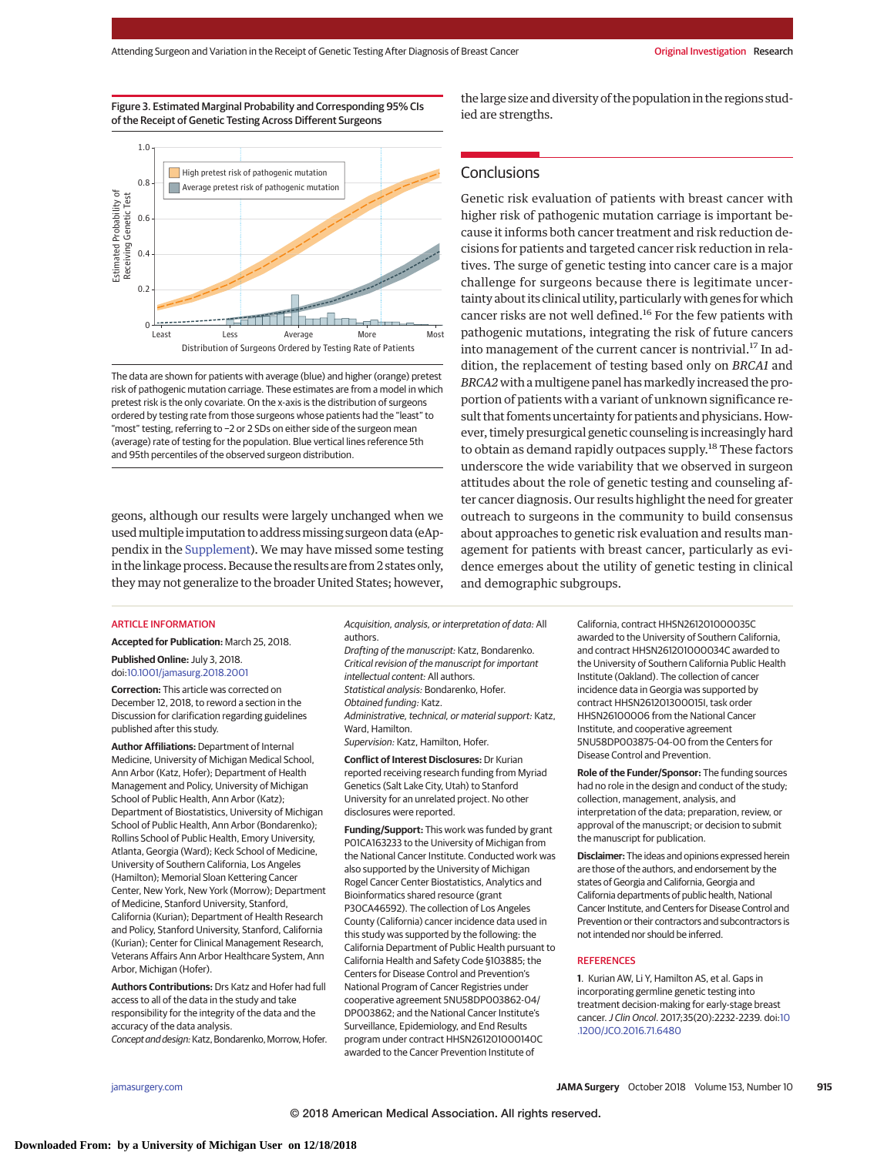## Figure 3. Estimated Marginal Probability and Corresponding 95% CIs of the Receipt of Genetic Testing Across Different Surgeons



The data are shown for patients with average (blue) and higher (orange) pretest risk of pathogenic mutation carriage. These estimates are from a model in which pretest risk is the only covariate. On the x-axis is the distribution of surgeons ordered by testing rate from those surgeons whose patients had the "least" to "most" testing, referring to −2 or 2 SDs on either side of the surgeon mean (average) rate of testing for the population. Blue vertical lines reference 5th and 95th percentiles of the observed surgeon distribution.

geons, although our results were largely unchanged when we used multiple imputation to address missing surgeon data (eAppendix in the [Supplement\)](https://jama.jamanetwork.com/article.aspx?doi=10.1001/jamasurg.2018.2001&utm_campaign=articlePDF%26utm_medium=articlePDFlink%26utm_source=articlePDF%26utm_content=jamasurg.2018.2001). We may have missed some testing in the linkage process. Because the results are from 2 states only, they may not generalize to the broader United States; however, the large size and diversity of the population in the regions studied are strengths.

## **Conclusions**

Genetic risk evaluation of patients with breast cancer with higher risk of pathogenic mutation carriage is important because it informs both cancer treatment and risk reduction decisions for patients and targeted cancer risk reduction in relatives. The surge of genetic testing into cancer care is a major challenge for surgeons because there is legitimate uncertainty about its clinical utility, particularly with genes for which cancer risks are not well defined.16 For the few patients with pathogenic mutations, integrating the risk of future cancers into management of the current cancer is nontrivial.<sup>17</sup> In addition, the replacement of testing based only on *BRCA1* and *BRCA2* with amultigene panel hasmarkedly increased the proportion of patients with a variant of unknown significance result that foments uncertainty for patients and physicians. However, timely presurgical genetic counseling is increasingly hard to obtain as demand rapidly outpaces supply.<sup>18</sup> These factors underscore the wide variability that we observed in surgeon attitudes about the role of genetic testing and counseling after cancer diagnosis. Our results highlight the need for greater outreach to surgeons in the community to build consensus about approaches to genetic risk evaluation and results management for patients with breast cancer, particularly as evidence emerges about the utility of genetic testing in clinical and demographic subgroups.

#### ARTICLE INFORMATION

**Accepted for Publication:** March 25, 2018.

**Published Online:** July 3, 2018. doi[:10.1001/jamasurg.2018.2001](https://jama.jamanetwork.com/article.aspx?doi=10.1001/jamasurg.2018.2001&utm_campaign=articlePDF%26utm_medium=articlePDFlink%26utm_source=articlePDF%26utm_content=jamasurg.2018.2001)

**Correction:** This article was corrected on December 12, 2018, to reword a section in the Discussion for clarification regarding guidelines published after this study.

**Author Affiliations:** Department of Internal Medicine, University of Michigan Medical School, Ann Arbor (Katz, Hofer); Department of Health Management and Policy, University of Michigan School of Public Health, Ann Arbor (Katz); Department of Biostatistics, University of Michigan School of Public Health, Ann Arbor (Bondarenko); Rollins School of Public Health, Emory University, Atlanta, Georgia (Ward); Keck School of Medicine, University of Southern California, Los Angeles (Hamilton); Memorial Sloan Kettering Cancer Center, New York, New York (Morrow); Department of Medicine, Stanford University, Stanford, California (Kurian); Department of Health Research and Policy, Stanford University, Stanford, California (Kurian); Center for Clinical Management Research, Veterans Affairs Ann Arbor Healthcare System, Ann Arbor, Michigan (Hofer).

**Authors Contributions:** Drs Katz and Hofer had full access to all of the data in the study and take responsibility for the integrity of the data and the accuracy of the data analysis. Concept and design: Katz, Bondarenko, Morrow, Hofer.

Acquisition, analysis, or interpretation of data: All authors.

Drafting of the manuscript: Katz, Bondarenko. Critical revision of the manuscript for important intellectual content: All authors. Statistical analysis: Bondarenko, Hofer. Obtained funding: Katz. Administrative, technical, or material support: Katz, Ward, Hamilton. Supervision: Katz, Hamilton, Hofer.

**Conflict of Interest Disclosures:** Dr Kurian reported receiving research funding from Myriad Genetics (Salt Lake City, Utah) to Stanford University for an unrelated project. No other disclosures were reported.

**Funding/Support:** This work was funded by grant P01CA163233 to the University of Michigan from the National Cancer Institute. Conducted work was also supported by the University of Michigan Rogel Cancer Center Biostatistics, Analytics and Bioinformatics shared resource (grant P30CA46592). The collection of Los Angeles County (California) cancer incidence data used in this study was supported by the following: the California Department of Public Health pursuant to California Health and Safety Code §103885; the Centers for Disease Control and Prevention's National Program of Cancer Registries under cooperative agreement 5NU58DP003862-04/ DP003862; and the National Cancer Institute's Surveillance, Epidemiology, and End Results program under contract HHSN261201000140C awarded to the Cancer Prevention Institute of

California, contract HHSN261201000035C awarded to the University of Southern California, and contract HHSN261201000034C awarded to the University of Southern California Public Health Institute (Oakland). The collection of cancer incidence data in Georgia was supported by contract HHSN261201300015I, task order HHSN26100006 from the National Cancer Institute, and cooperative agreement 5NU58DP003875-04-00 from the Centers for Disease Control and Prevention.

**Role of the Funder/Sponsor:** The funding sources had no role in the design and conduct of the study; collection, management, analysis, and interpretation of the data; preparation, review, or approval of the manuscript; or decision to submit the manuscript for publication.

**Disclaimer:** The ideas and opinions expressed herein are those of the authors, and endorsement by the states of Georgia and California, Georgia and California departments of public health, National Cancer Institute, and Centers for Disease Control and Prevention or their contractors and subcontractors is not intended nor should be inferred.

#### **REFERENCES**

**1**. Kurian AW, Li Y, Hamilton AS, et al. Gaps in incorporating germline genetic testing into treatment decision-making for early-stage breast cancer.J Clin Oncol. 2017;35(20):2232-2239. doi[:10](https://dx.doi.org/10.1200/JCO.2016.71.6480) [.1200/JCO.2016.71.6480](https://dx.doi.org/10.1200/JCO.2016.71.6480)